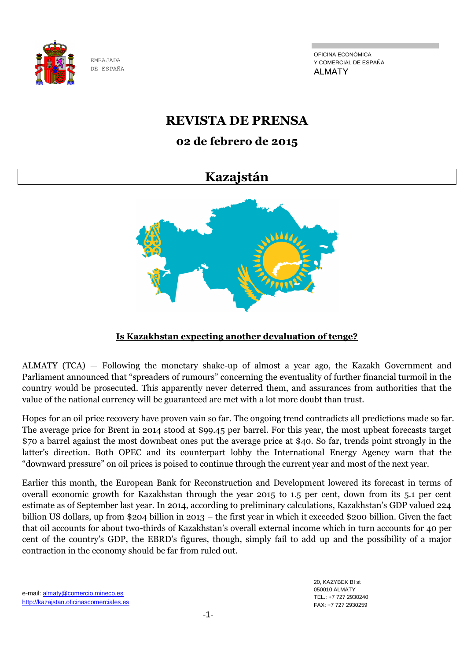

OFICINA ECONÓMICA Y COMERCIAL DE ESPAÑA ALMATY

# **REVISTA DE PRENSA**

# **02 de febrero de 2015**

# **Kazajstán**



## **Is Kazakhstan expecting another devaluation of tenge?**

ALMATY (TCA) — Following the monetary shake-up of almost a year ago, the Kazakh Government and Parliament announced that "spreaders of rumours" concerning the eventuality of further financial turmoil in the country would be prosecuted. This apparently never deterred them, and assurances from authorities that the value of the national currency will be guaranteed are met with a lot more doubt than trust.

Hopes for an oil price recovery have proven vain so far. The ongoing trend contradicts all predictions made so far. The average price for Brent in 2014 stood at \$99.45 per barrel. For this year, the most upbeat forecasts target \$70 a barrel against the most downbeat ones put the average price at \$40. So far, trends point strongly in the latter's direction. Both OPEC and its counterpart lobby the International Energy Agency warn that the "downward pressure" on oil prices is poised to continue through the current year and most of the next year.

Earlier this month, the European Bank for Reconstruction and Development lowered its forecast in terms of overall economic growth for Kazakhstan through the year 2015 to 1.5 per cent, down from its 5.1 per cent estimate as of September last year. In 2014, according to preliminary calculations, Kazakhstan's GDP valued 224 billion US dollars, up from \$204 billion in 2013 – the first year in which it exceeded \$200 billion. Given the fact that oil accounts for about two-thirds of Kazakhstan's overall external income which in turn accounts for 40 per cent of the country's GDP, the EBRD's figures, though, simply fail to add up and the possibility of a major contraction in the economy should be far from ruled out.

e-mail: almaty@comercio.mineco.es http://kazajstan.oficinascomerciales.es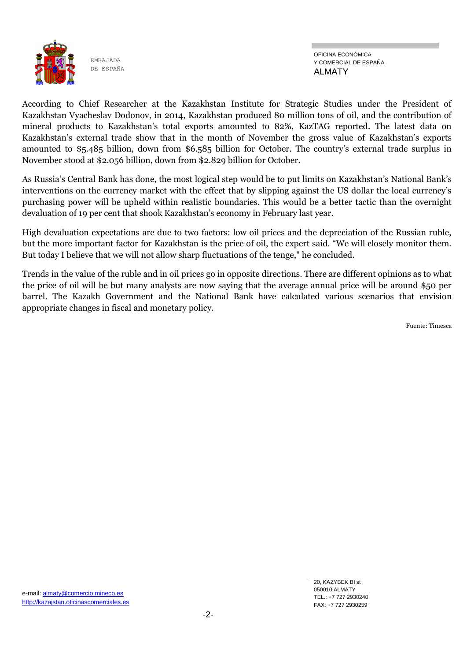

According to Chief Researcher at the Kazakhstan Institute for Strategic Studies under the President of Kazakhstan Vyacheslav Dodonov, in 2014, Kazakhstan produced 80 million tons of oil, and the contribution of mineral products to Kazakhstan's total exports amounted to 82%, KazTAG reported. The latest data on Kazakhstan's external trade show that in the month of November the gross value of Kazakhstan's exports amounted to \$5.485 billion, down from \$6.585 billion for October. The country's external trade surplus in November stood at \$2.056 billion, down from \$2.829 billion for October.

As Russia's Central Bank has done, the most logical step would be to put limits on Kazakhstan's National Bank's interventions on the currency market with the effect that by slipping against the US dollar the local currency's purchasing power will be upheld within realistic boundaries. This would be a better tactic than the overnight devaluation of 19 per cent that shook Kazakhstan's economy in February last year.

High devaluation expectations are due to two factors: low oil prices and the depreciation of the Russian ruble, but the more important factor for Kazakhstan is the price of oil, the expert said. "We will closely monitor them. But today I believe that we will not allow sharp fluctuations of the tenge," he concluded.

Trends in the value of the ruble and in oil prices go in opposite directions. There are different opinions as to what the price of oil will be but many analysts are now saying that the average annual price will be around \$50 per barrel. The Kazakh Government and the National Bank have calculated various scenarios that envision appropriate changes in fiscal and monetary policy.

Fuente: Timesca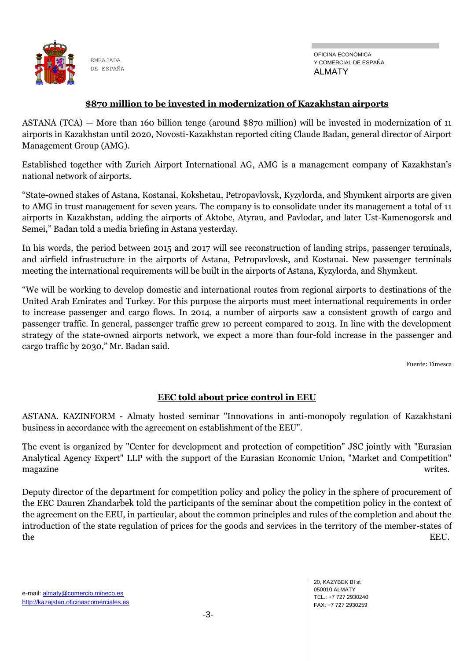

#### **\$870 million to be invested in modernization of Kazakhstan airports**

ASTANA (TCA) — More than 160 billion tenge (around \$870 million) will be invested in modernization of 11 airports in Kazakhstan until 2020, Novosti-Kazakhstan reported citing Claude Badan, general director of Airport Management Group (AMG).

Established together with Zurich Airport International AG, AMG is a management company of Kazakhstan's national network of airports.

"State-owned stakes of Astana, Kostanai, Kokshetau, Petropavlovsk, Kyzylorda, and Shymkent airports are given to AMG in trust management for seven years. The company is to consolidate under its management a total of 11 airports in Kazakhstan, adding the airports of Aktobe, Atyrau, and Pavlodar, and later Ust-Kamenogorsk and Semei," Badan told a media briefing in Astana yesterday.

In his words, the period between 2015 and 2017 will see reconstruction of landing strips, passenger terminals, and airfield infrastructure in the airports of Astana, Petropavlovsk, and Kostanai. New passenger terminals meeting the international requirements will be built in the airports of Astana, Kyzylorda, and Shymkent.

"We will be working to develop domestic and international routes from regional airports to destinations of the United Arab Emirates and Turkey. For this purpose the airports must meet international requirements in order to increase passenger and cargo flows. In 2014, a number of airports saw a consistent growth of cargo and passenger traffic. In general, passenger traffic grew 10 percent compared to 2013. In line with the development strategy of the state-owned airports network, we expect a more than four-fold increase in the passenger and cargo traffic by 2030," Mr. Badan said.

Fuente: Timesca

### **EEC told about price control in EEU**

ASTANA. KAZINFORM - Almaty hosted seminar "Innovations in anti-monopoly regulation of Kazakhstani business in accordance with the agreement on establishment of the EEU".

The event is organized by "Center for development and protection of competition" JSC jointly with "Eurasian Analytical Agency Expert" LLP with the support of the Eurasian Economic Union, "Market and Competition" magazine writes.

Deputy director of the department for competition policy and policy the policy in the sphere of procurement of the EEC Dauren Zhandarbek told the participants of the seminar about the competition policy in the context of the agreement on the EEU, in particular, about the common principles and rules of the completion and about the introduction of the state regulation of prices for the goods and services in the territory of the member-states of the EEU.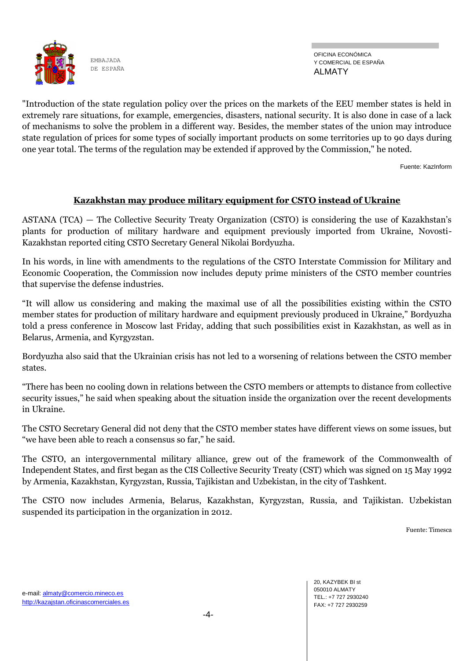

OFICINA ECONÓMICA Y COMERCIAL DE ESPAÑA ALMATY

"Introduction of the state regulation policy over the prices on the markets of the EEU member states is held in extremely rare situations, for example, emergencies, disasters, national security. It is also done in case of a lack of mechanisms to solve the problem in a different way. Besides, the member states of the union may introduce state regulation of prices for some types of socially important products on some territories up to 90 days during one year total. The terms of the regulation may be extended if approved by the Commission," he noted.

Fuente: KazInform

## **Kazakhstan may produce military equipment for CSTO instead of Ukraine**

ASTANA (TCA) — The Collective Security Treaty Organization (CSTO) is considering the use of Kazakhstan's plants for production of military hardware and equipment previously imported from Ukraine, Novosti-Kazakhstan reported citing CSTO Secretary General Nikolai Bordyuzha.

In his words, in line with amendments to the regulations of the CSTO Interstate Commission for Military and Economic Cooperation, the Commission now includes deputy prime ministers of the CSTO member countries that supervise the defense industries.

"It will allow us considering and making the maximal use of all the possibilities existing within the CSTO member states for production of military hardware and equipment previously produced in Ukraine," Bordyuzha told a press conference in Moscow last Friday, adding that such possibilities exist in Kazakhstan, as well as in Belarus, Armenia, and Kyrgyzstan.

Bordyuzha also said that the Ukrainian crisis has not led to a worsening of relations between the CSTO member states.

"There has been no cooling down in relations between the CSTO members or attempts to distance from collective security issues," he said when speaking about the situation inside the organization over the recent developments in Ukraine.

The CSTO Secretary General did not deny that the CSTO member states have different views on some issues, but "we have been able to reach a consensus so far," he said.

The CSTO, an intergovernmental military alliance, grew out of the framework of the Commonwealth of Independent States, and first began as the CIS Collective Security Treaty (CST) which was signed on 15 May 1992 by Armenia, Kazakhstan, Kyrgyzstan, Russia, Tajikistan and Uzbekistan, in the city of Tashkent.

The CSTO now includes Armenia, Belarus, Kazakhstan, Kyrgyzstan, Russia, and Tajikistan. Uzbekistan suspended its participation in the organization in 2012.

Fuente: Timesca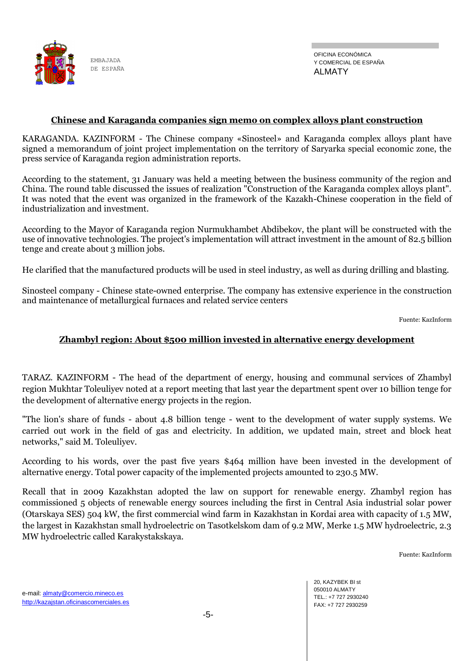

#### **Chinese and Karaganda companies sign memo on complex alloys plant construction**

KARAGANDA. KAZINFORM - The Chinese company «Sinosteel» and Karaganda complex alloys plant have signed a memorandum of joint project implementation on the territory of Saryarka special economic zone, the press service of Karaganda region administration reports.

According to the statement, 31 January was held a meeting between the business community of the region and China. The round table discussed the issues of realization "Construction of the Karaganda complex alloys plant". It was noted that the event was organized in the framework of the Kazakh-Chinese cooperation in the field of industrialization and investment.

According to the Mayor of Karaganda region Nurmukhambet Abdibekov, the plant will be constructed with the use of innovative technologies. The project's implementation will attract investment in the amount of 82.5 billion tenge and create about 3 million jobs.

He clarified that the manufactured products will be used in steel industry, as well as during drilling and blasting.

Sinosteel company - Chinese state-owned enterprise. The company has extensive experience in the construction and maintenance of metallurgical furnaces and related service centers

Fuente: KazInform

#### **Zhambyl region: About \$500 million invested in alternative energy development**

TARAZ. KAZINFORM - The head of the department of energy, housing and communal services of Zhambyl region Mukhtar Toleuliyev noted at a report meeting that last year the department spent over 10 billion tenge for the development of alternative energy projects in the region.

"The lion's share of funds - about 4.8 billion tenge - went to the development of water supply systems. We carried out work in the field of gas and electricity. In addition, we updated main, street and block heat networks," said M. Toleuliyev.

According to his words, over the past five years \$464 million have been invested in the development of alternative energy. Total power capacity of the implemented projects amounted to 230.5 MW.

Recall that in 2009 Kazakhstan adopted the law on support for renewable energy. Zhambyl region has commissioned 5 objects of renewable energy sources including the first in Central Asia industrial solar power (Otarskaya SES) 504 kW, the first commercial wind farm in Kazakhstan in Kordai area with capacity of 1.5 MW, the largest in Kazakhstan small hydroelectric on Tasotkelskom dam of 9.2 MW, Merke 1.5 MW hydroelectric, 2.3 MW hydroelectric called Karakystakskaya.

Fuente: KazInform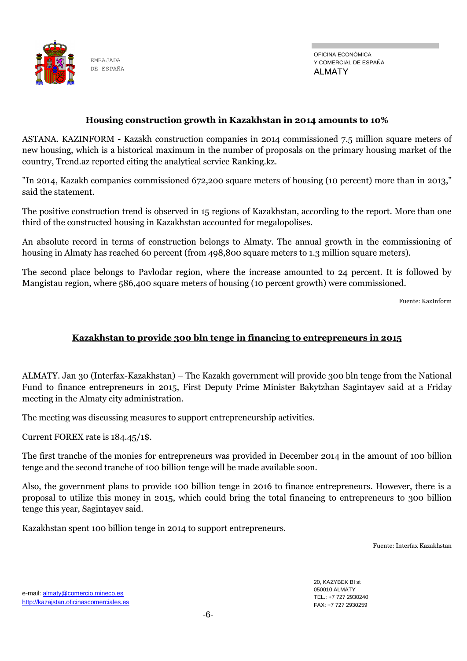

OFICINA ECONÓMICA Y COMERCIAL DE ESPAÑA ALMATY

#### **Housing construction growth in Kazakhstan in 2014 amounts to 10%**

ASTANA. KAZINFORM - Kazakh construction companies in 2014 commissioned 7.5 million square meters of new housing, which is a historical maximum in the number of proposals on the primary housing market of the country, Trend.az reported citing the analytical service Ranking.kz.

"In 2014, Kazakh companies commissioned 672,200 square meters of housing (10 percent) more than in 2013," said the statement.

The positive construction trend is observed in 15 regions of Kazakhstan, according to the report. More than one third of the constructed housing in Kazakhstan accounted for megalopolises.

An absolute record in terms of construction belongs to Almaty. The annual growth in the commissioning of housing in Almaty has reached 60 percent (from 498,800 square meters to 1.3 million square meters).

The second place belongs to Pavlodar region, where the increase amounted to 24 percent. It is followed by Mangistau region, where 586,400 square meters of housing (10 percent growth) were commissioned.

Fuente: KazInform

### **Kazakhstan to provide 300 bln tenge in financing to entrepreneurs in 2015**

ALMATY. Jan 30 (Interfax-Kazakhstan) – The Kazakh government will provide 300 bln tenge from the National Fund to finance entrepreneurs in 2015, First Deputy Prime Minister Bakytzhan Sagintayev said at a Friday meeting in the Almaty city administration.

The meeting was discussing measures to support entrepreneurship activities.

Current FOREX rate is 184.45/1\$.

The first tranche of the monies for entrepreneurs was provided in December 2014 in the amount of 100 billion tenge and the second tranche of 100 billion tenge will be made available soon.

Also, the government plans to provide 100 billion tenge in 2016 to finance entrepreneurs. However, there is a proposal to utilize this money in 2015, which could bring the total financing to entrepreneurs to 300 billion tenge this year, Sagintayev said.

Kazakhstan spent 100 billion tenge in 2014 to support entrepreneurs.

Fuente: Interfax Kazakhstan

20, KAZYBEK BI st 050010 ALMATY TEL.: +7 727 2930240 FAX: +7 727 2930259

e-mail: almaty@comercio.mineco.es http://kazajstan.oficinascomerciales.es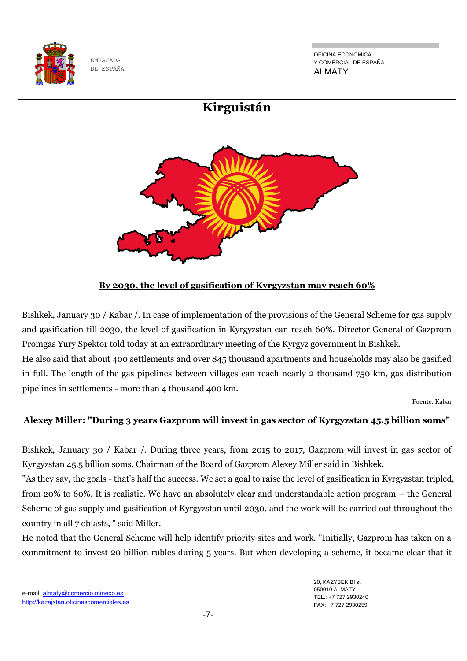

OFICINA ECONÓMICA Y COMERCIAL DE ESPAÑA ALMATY



## **By 2030, the level of gasification of Kyrgyzstan may reach 60%**

Bishkek, January 30 / Kabar /. In case of implementation of the provisions of the General Scheme for gas supply and gasification till 2030, the level of gasification in Kyrgyzstan can reach 60%. Director General of Gazprom Promgas Yury Spektor told today at an extraordinary meeting of the Kyrgyz government in Bishkek.

He also said that about 400 settlements and over 845 thousand apartments and households may also be gasified in full. The length of the gas pipelines between villages can reach nearly 2 thousand 750 km, gas distribution pipelines in settlements - more than 4 thousand 400 km.

Fuente: Kabar

#### **Alexey Miller: "During 3 years Gazprom will invest in gas sector of Kyrgyzstan 45.5 billion soms"**

Bishkek, January 30 / Kabar /. During three years, from 2015 to 2017, Gazprom will invest in gas sector of Kyrgyzstan 45.5 billion soms. Chairman of the Board of Gazprom Alexey Miller said in Bishkek.

"As they say, the goals - that's half the success. We set a goal to raise the level of gasification in Kyrgyzstan tripled, from 20% to 60%. It is realistic. We have an absolutely clear and understandable action program – the General Scheme of gas supply and gasification of Kyrgyzstan until 2030, and the work will be carried out throughout the country in all 7 oblasts, " said Miller.

He noted that the General Scheme will help identify priority sites and work. "Initially, Gazprom has taken on a commitment to invest 20 billion rubles during 5 years. But when developing a scheme, it became clear that it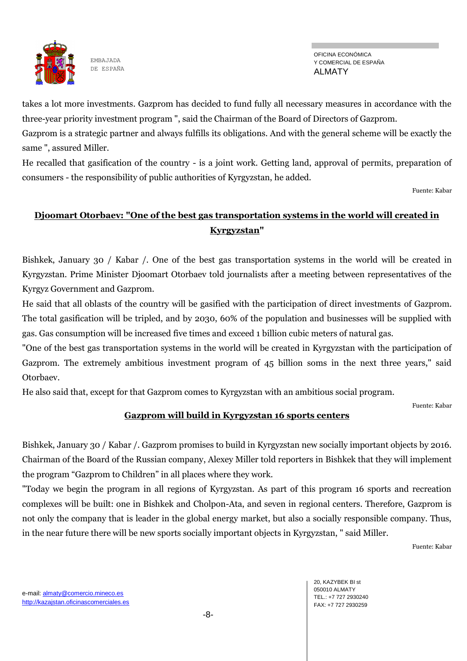

takes a lot more investments. Gazprom has decided to fund fully all necessary measures in accordance with the three-year priority investment program ", said the Chairman of the Board of Directors of Gazprom.

Gazprom is a strategic partner and always fulfills its obligations. And with the general scheme will be exactly the same ", assured Miller.

He recalled that gasification of the country - is a joint work. Getting land, approval of permits, preparation of consumers - the responsibility of public authorities of Kyrgyzstan, he added.

Fuente: Kabar

# **Djoomart Otorbaev: "One of the best gas transportation systems in the world will created in Kyrgyzstan"**

Bishkek, January 30 / Kabar /. One of the best gas transportation systems in the world will be created in Kyrgyzstan. Prime Minister Djoomart Otorbaev told journalists after a meeting between representatives of the Kyrgyz Government and Gazprom.

He said that all oblasts of the country will be gasified with the participation of direct investments of Gazprom. The total gasification will be tripled, and by 2030, 60% of the population and businesses will be supplied with gas. Gas consumption will be increased five times and exceed 1 billion cubic meters of natural gas.

"One of the best gas transportation systems in the world will be created in Kyrgyzstan with the participation of Gazprom. The extremely ambitious investment program of 45 billion soms in the next three years," said Otorbaev.

He also said that, except for that Gazprom comes to Kyrgyzstan with an ambitious social program.

Fuente: Kabar

## **Gazprom will build in Kyrgyzstan 16 sports centers**

Bishkek, January 30 / Kabar /. Gazprom promises to build in Kyrgyzstan new socially important objects by 2016. Chairman of the Board of the Russian company, Alexey Miller told reporters in Bishkek that they will implement the program "Gazprom to Children" in all places where they work.

"Today we begin the program in all regions of Kyrgyzstan. As part of this program 16 sports and recreation complexes will be built: one in Bishkek and Cholpon-Ata, and seven in regional centers. Therefore, Gazprom is not only the company that is leader in the global energy market, but also a socially responsible company. Thus, in the near future there will be new sports socially important objects in Kyrgyzstan, " said Miller.

Fuente: Kabar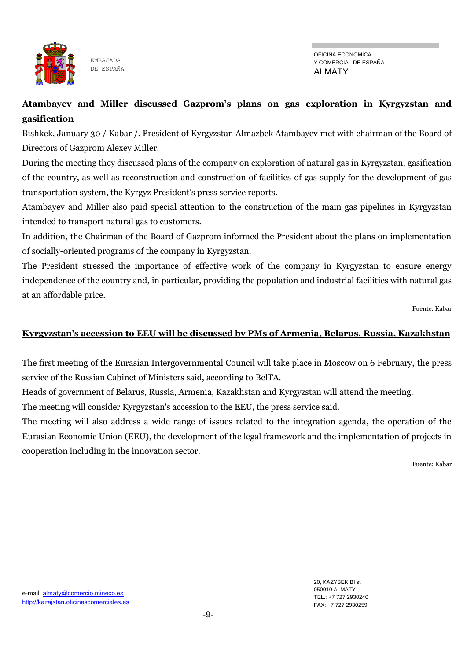

OFICINA ECONÓMICA Y COMERCIAL DE ESPAÑA ALMATY

## **Atambayev and Miller discussed Gazprom's plans on gas exploration in Kyrgyzstan and gasification**

Bishkek, January 30 / Kabar /. President of Kyrgyzstan Almazbek Atambayev met with chairman of the Board of Directors of Gazprom Alexey Miller.

During the meeting they discussed plans of the company on exploration of natural gas in Kyrgyzstan, gasification of the country, as well as reconstruction and construction of facilities of gas supply for the development of gas transportation system, the Kyrgyz President's press service reports.

Atambayev and Miller also paid special attention to the construction of the main gas pipelines in Kyrgyzstan intended to transport natural gas to customers.

In addition, the Chairman of the Board of Gazprom informed the President about the plans on implementation of socially-oriented programs of the company in Kyrgyzstan.

The President stressed the importance of effective work of the company in Kyrgyzstan to ensure energy independence of the country and, in particular, providing the population and industrial facilities with natural gas at an affordable price.

Fuente: Kabar

## **Kyrgyzstan's accession to EEU will be discussed by PMs of Armenia, Belarus, Russia, Kazakhstan**

The first meeting of the Eurasian Intergovernmental Council will take place in Moscow on 6 February, the press service of the Russian Cabinet of Ministers said, according to BelTA.

Heads of government of Belarus, Russia, Armenia, Kazakhstan and Kyrgyzstan will attend the meeting.

The meeting will consider Kyrgyzstan's accession to the EEU, the press service said.

The meeting will also address a wide range of issues related to the integration agenda, the operation of the Eurasian Economic Union (EEU), the development of the legal framework and the implementation of projects in cooperation including in the innovation sector.

Fuente: Kabar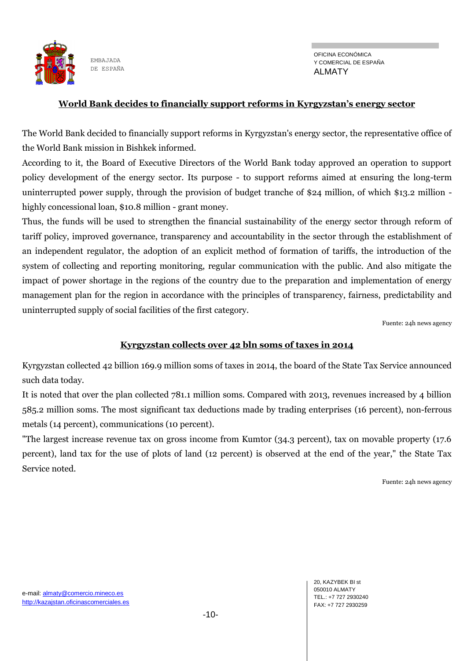

#### **World Bank decides to financially support reforms in Kyrgyzstan's energy sector**

The World Bank decided to financially support reforms in Kyrgyzstan's energy sector, the representative office of the World Bank mission in Bishkek informed.

According to it, the Board of Executive Directors of the World Bank today approved an operation to support policy development of the energy sector. Its purpose - to support reforms aimed at ensuring the long-term uninterrupted power supply, through the provision of budget tranche of \$24 million, of which \$13.2 million highly concessional loan, \$10.8 million - grant money.

Thus, the funds will be used to strengthen the financial sustainability of the energy sector through reform of tariff policy, improved governance, transparency and accountability in the sector through the establishment of an independent regulator, the adoption of an explicit method of formation of tariffs, the introduction of the system of collecting and reporting monitoring, regular communication with the public. And also mitigate the impact of power shortage in the regions of the country due to the preparation and implementation of energy management plan for the region in accordance with the principles of transparency, fairness, predictability and uninterrupted supply of social facilities of the first category.

Fuente: 24h news agency

#### **Kyrgyzstan collects over 42 bln soms of taxes in 2014**

Kyrgyzstan collected 42 billion 169.9 million soms of taxes in 2014, the board of the State Tax Service announced such data today.

It is noted that over the plan collected 781.1 million soms. Compared with 2013, revenues increased by 4 billion 585.2 million soms. The most significant tax deductions made by trading enterprises (16 percent), non-ferrous metals (14 percent), communications (10 percent).

"The largest increase revenue tax on gross income from Kumtor (34.3 percent), tax on movable property (17.6 percent), land tax for the use of plots of land (12 percent) is observed at the end of the year," the State Tax Service noted.

Fuente: 24h news agency

20, KAZYBEK BI st 050010 ALMATY TEL.: +7 727 2930240 FAX: +7 727 2930259

e-mail: almaty@comercio.mineco.es http://kazajstan.oficinascomerciales.es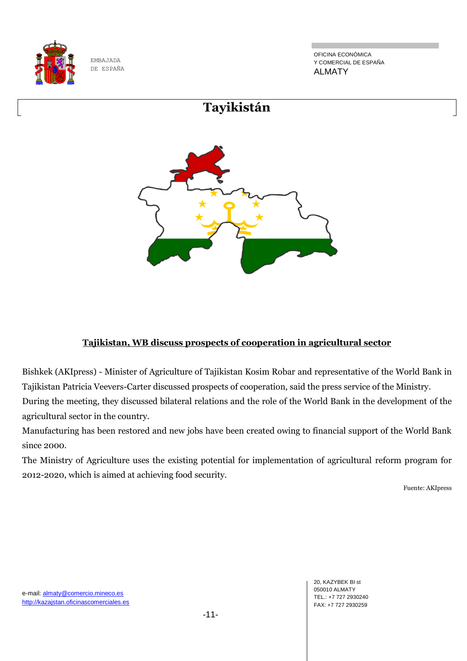

OFICINA ECONÓMICA Y COMERCIAL DE ESPAÑA ALMATY



### **Tajikistan, WB discuss prospects of cooperation in agricultural sector**

Bishkek (AKIpress) - Minister of Agriculture of Tajikistan Kosim Robar and representative of the World Bank in Tajikistan Patricia Veevers-Carter discussed prospects of cooperation, said the press service of the Ministry. During the meeting, they discussed bilateral relations and the role of the World Bank in the development of the

agricultural sector in the country.

Manufacturing has been restored and new jobs have been created owing to financial support of the World Bank since 2000.

The Ministry of Agriculture uses the existing potential for implementation of agricultural reform program for 2012-2020, which is aimed at achieving food security.

Fuente: AKIpress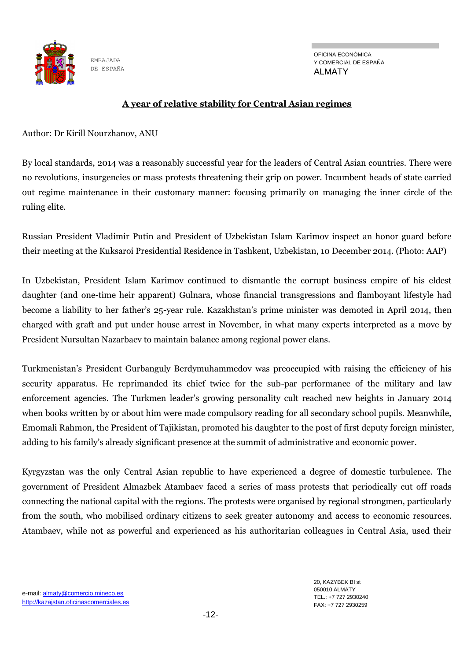

#### **A year of relative stability for Central Asian regimes**

Author: Dr Kirill Nourzhanov, ANU

By local standards, 2014 was a reasonably successful year for the leaders of Central Asian countries. There were no revolutions, insurgencies or mass protests threatening their grip on power. Incumbent heads of state carried out regime maintenance in their customary manner: focusing primarily on managing the inner circle of the ruling elite.

Russian President Vladimir Putin and President of Uzbekistan Islam Karimov inspect an honor guard before their meeting at the Kuksaroi Presidential Residence in Tashkent, Uzbekistan, 10 December 2014. (Photo: AAP)

In Uzbekistan, President Islam Karimov continued to dismantle the corrupt business empire of his eldest daughter (and one-time heir apparent) Gulnara, whose financial transgressions and flamboyant lifestyle had become a liability to her father's 25-year rule. Kazakhstan's prime minister was demoted in April 2014, then charged with graft and put under house arrest in November, in what many experts interpreted as a move by President Nursultan Nazarbaev to maintain balance among regional power clans.

Turkmenistan's President Gurbanguly Berdymuhammedov was preoccupied with raising the efficiency of his security apparatus. He reprimanded its chief twice for the sub-par performance of the military and law enforcement agencies. The Turkmen leader's growing personality cult reached new heights in January 2014 when books written by or about him were made compulsory reading for all secondary school pupils. Meanwhile, Emomali Rahmon, the President of Tajikistan, promoted his daughter to the post of first deputy foreign minister, adding to his family's already significant presence at the summit of administrative and economic power.

Kyrgyzstan was the only Central Asian republic to have experienced a degree of domestic turbulence. The government of President Almazbek Atambaev faced a series of mass protests that periodically cut off roads connecting the national capital with the regions. The protests were organised by regional strongmen, particularly from the south, who mobilised ordinary citizens to seek greater autonomy and access to economic resources. Atambaev, while not as powerful and experienced as his authoritarian colleagues in Central Asia, used their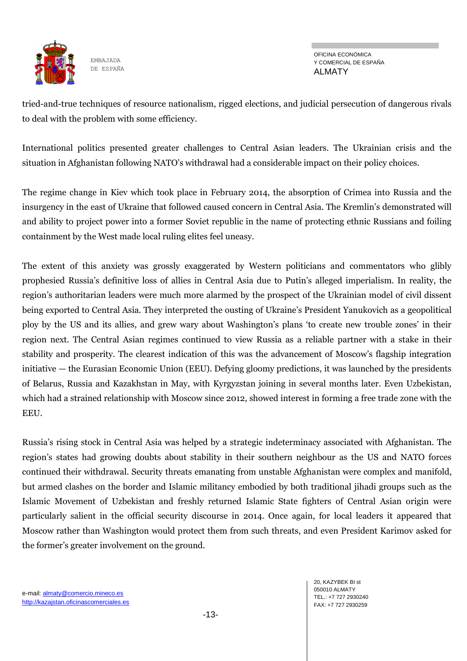

OFICINA ECONÓMICA Y COMERCIAL DE ESPAÑA ALMATY

tried-and-true techniques of resource nationalism, rigged elections, and judicial persecution of dangerous rivals to deal with the problem with some efficiency.

International politics presented greater challenges to Central Asian leaders. The Ukrainian crisis and the situation in Afghanistan following NATO's withdrawal had a considerable impact on their policy choices.

The regime change in Kiev which took place in February 2014, the absorption of Crimea into Russia and the insurgency in the east of Ukraine that followed caused concern in Central Asia. The Kremlin's demonstrated will and ability to project power into a former Soviet republic in the name of protecting ethnic Russians and foiling containment by the West made local ruling elites feel uneasy.

The extent of this anxiety was grossly exaggerated by Western politicians and commentators who glibly prophesied Russia's definitive loss of allies in Central Asia due to Putin's alleged imperialism. In reality, the region's authoritarian leaders were much more alarmed by the prospect of the Ukrainian model of civil dissent being exported to Central Asia. They interpreted the ousting of Ukraine's President Yanukovich as a geopolitical ploy by the US and its allies, and grew wary about Washington's plans 'to create new trouble zones' in their region next. The Central Asian regimes continued to view Russia as a reliable partner with a stake in their stability and prosperity. The clearest indication of this was the advancement of Moscow's flagship integration initiative — the Eurasian Economic Union (EEU). Defying gloomy predictions, it was launched by the presidents of Belarus, Russia and Kazakhstan in May, with Kyrgyzstan joining in several months later. Even Uzbekistan, which had a strained relationship with Moscow since 2012, showed interest in forming a free trade zone with the EEU.

Russia's rising stock in Central Asia was helped by a strategic indeterminacy associated with Afghanistan. The region's states had growing doubts about stability in their southern neighbour as the US and NATO forces continued their withdrawal. Security threats emanating from unstable Afghanistan were complex and manifold, but armed clashes on the border and Islamic militancy embodied by both traditional jihadi groups such as the Islamic Movement of Uzbekistan and freshly returned Islamic State fighters of Central Asian origin were particularly salient in the official security discourse in 2014. Once again, for local leaders it appeared that Moscow rather than Washington would protect them from such threats, and even President Karimov asked for the former's greater involvement on the ground.